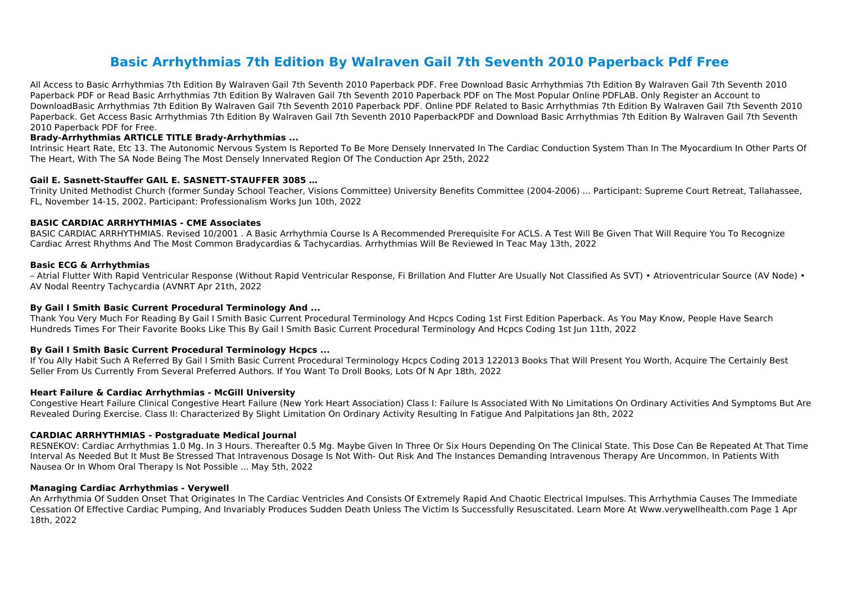# **Basic Arrhythmias 7th Edition By Walraven Gail 7th Seventh 2010 Paperback Pdf Free**

All Access to Basic Arrhythmias 7th Edition By Walraven Gail 7th Seventh 2010 Paperback PDF. Free Download Basic Arrhythmias 7th Edition By Walraven Gail 7th Seventh 2010 Paperback PDF or Read Basic Arrhythmias 7th Edition By Walraven Gail 7th Seventh 2010 Paperback PDF on The Most Popular Online PDFLAB. Only Register an Account to DownloadBasic Arrhythmias 7th Edition By Walraven Gail 7th Seventh 2010 Paperback PDF. Online PDF Related to Basic Arrhythmias 7th Edition By Walraven Gail 7th Seventh 2010 Paperback. Get Access Basic Arrhythmias 7th Edition By Walraven Gail 7th Seventh 2010 PaperbackPDF and Download Basic Arrhythmias 7th Edition By Walraven Gail 7th Seventh 2010 Paperback PDF for Free.

# **Brady-Arrhythmias ARTICLE TITLE Brady-Arrhythmias ...**

Intrinsic Heart Rate, Etc 13. The Autonomic Nervous System Is Reported To Be More Densely Innervated In The Cardiac Conduction System Than In The Myocardium In Other Parts Of The Heart, With The SA Node Being The Most Densely Innervated Region Of The Conduction Apr 25th, 2022

# **Gail E. Sasnett-Stauffer GAIL E. SASNETT-STAUFFER 3085 …**

Trinity United Methodist Church (former Sunday School Teacher, Visions Committee) University Benefits Committee (2004-2006) ... Participant: Supreme Court Retreat, Tallahassee, FL, November 14-15, 2002. Participant: Professionalism Works Jun 10th, 2022

# **BASIC CARDIAC ARRHYTHMIAS - CME Associates**

BASIC CARDIAC ARRHYTHMIAS. Revised 10/2001 . A Basic Arrhythmia Course Is A Recommended Prerequisite For ACLS. A Test Will Be Given That Will Require You To Recognize Cardiac Arrest Rhythms And The Most Common Bradycardias & Tachycardias. Arrhythmias Will Be Reviewed In Teac May 13th, 2022

# **Basic ECG & Arrhythmias**

– Atrial Flutter With Rapid Ventricular Response (Without Rapid Ventricular Response, Fi Brillation And Flutter Are Usually Not Classified As SVT) • Atrioventricular Source (AV Node) • AV Nodal Reentry Tachycardia (AVNRT Apr 21th, 2022

# **By Gail I Smith Basic Current Procedural Terminology And ...**

Thank You Very Much For Reading By Gail I Smith Basic Current Procedural Terminology And Hcpcs Coding 1st First Edition Paperback. As You May Know, People Have Search Hundreds Times For Their Favorite Books Like This By Gail I Smith Basic Current Procedural Terminology And Hcpcs Coding 1st Jun 11th, 2022

# **By Gail I Smith Basic Current Procedural Terminology Hcpcs ...**

If You Ally Habit Such A Referred By Gail I Smith Basic Current Procedural Terminology Hcpcs Coding 2013 122013 Books That Will Present You Worth, Acquire The Certainly Best Seller From Us Currently From Several Preferred Authors. If You Want To Droll Books, Lots Of N Apr 18th, 2022

# **Heart Failure & Cardiac Arrhythmias - McGill University**

Congestive Heart Failure Clinical Congestive Heart Failure (New York Heart Association) Class I: Failure Is Associated With No Limitations On Ordinary Activities And Symptoms But Are Revealed During Exercise. Class II: Characterized By Slight Limitation On Ordinary Activity Resulting In Fatigue And Palpitations Jan 8th, 2022

# **CARDIAC ARRHYTHMIAS - Postgraduate Medical Journal**

RESNEKOV: Cardiac Arrhythmias 1.0 Mg. In 3 Hours. Thereafter 0.5 Mg. Maybe Given In Three Or Six Hours Depending On The Clinical State. This Dose Can Be Repeated At That Time Interval As Needed But It Must Be Stressed That Intravenous Dosage Is Not With- Out Risk And The Instances Demanding Intravenous Therapy Are Uncommon. In Patients With Nausea Or In Whom Oral Therapy Is Not Possible ... May 5th, 2022

# **Managing Cardiac Arrhythmias - Verywell**

An Arrhythmia Of Sudden Onset That Originates In The Cardiac Ventricles And Consists Of Extremely Rapid And Chaotic Electrical Impulses. This Arrhythmia Causes The Immediate Cessation Of Effective Cardiac Pumping, And Invariably Produces Sudden Death Unless The Victim Is Successfully Resuscitated. Learn More At Www.verywellhealth.com Page 1 Apr 18th, 2022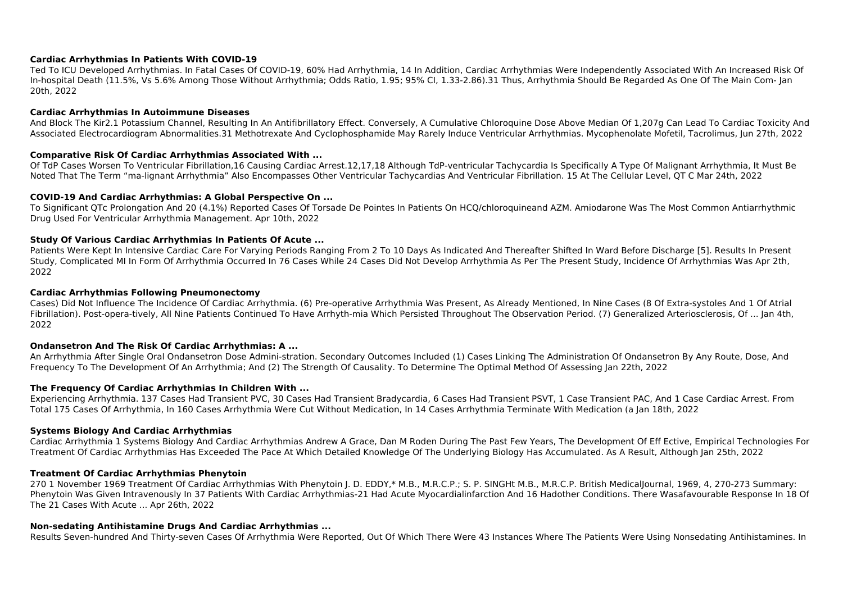# **Cardiac Arrhythmias In Patients With COVID‐19**

Ted To ICU Developed Arrhythmias. In Fatal Cases Of COVID-19, 60% Had Arrhythmia, 14 In Addition, Cardiac Arrhythmias Were Independently Associated With An Increased Risk Of In-hospital Death (11.5%, Vs 5.6% Among Those Without Arrhythmia; Odds Ratio, 1.95; 95% CI, 1.33-2.86).31 Thus, Arrhythmia Should Be Regarded As One Of The Main Com- Jan 20th, 2022

#### **Cardiac Arrhythmias In Autoimmune Diseases**

And Block The Kir2.1 Potassium Channel, Resulting In An Antifibrillatory Effect. Conversely, A Cumulative Chloroquine Dose Above Median Of 1,207g Can Lead To Cardiac Toxicity And Associated Electrocardiogram Abnormalities.31 Methotrexate And Cyclophosphamide May Rarely Induce Ventricular Arrhythmias. Mycophenolate Mofetil, Tacrolimus, Jun 27th, 2022

# **Comparative Risk Of Cardiac Arrhythmias Associated With ...**

Of TdP Cases Worsen To Ventricular Fibrillation,16 Causing Cardiac Arrest.12,17,18 Although TdP-ventricular Tachycardia Is Specifically A Type Of Malignant Arrhythmia, It Must Be Noted That The Term "ma-lignant Arrhythmia" Also Encompasses Other Ventricular Tachycardias And Ventricular Fibrillation. 15 At The Cellular Level, QT C Mar 24th, 2022

#### **COVID-19 And Cardiac Arrhythmias: A Global Perspective On ...**

To Significant QTc Prolongation And 20 (4.1%) Reported Cases Of Torsade De Pointes In Patients On HCQ/chloroquineand AZM. Amiodarone Was The Most Common Antiarrhythmic Drug Used For Ventricular Arrhythmia Management. Apr 10th, 2022

#### **Study Of Various Cardiac Arrhythmias In Patients Of Acute ...**

Patients Were Kept In Intensive Cardiac Care For Varying Periods Ranging From 2 To 10 Days As Indicated And Thereafter Shifted In Ward Before Discharge [5]. Results In Present Study, Complicated MI In Form Of Arrhythmia Occurred In 76 Cases While 24 Cases Did Not Develop Arrhythmia As Per The Present Study, Incidence Of Arrhythmias Was Apr 2th, 2022

#### **Cardiac Arrhythmias Following Pneumonectomy**

Cases) Did Not Influence The Incidence Of Cardiac Arrhythmia. (6) Pre-operative Arrhythmia Was Present, As Already Mentioned, In Nine Cases (8 Of Extra-systoles And 1 Of Atrial Fibrillation). Post-opera-tively, All Nine Patients Continued To Have Arrhyth-mia Which Persisted Throughout The Observation Period. (7) Generalized Arteriosclerosis, Of ... Jan 4th, 2022

# **Ondansetron And The Risk Of Cardiac Arrhythmias: A ...**

An Arrhythmia After Single Oral Ondansetron Dose Admini-stration. Secondary Outcomes Included (1) Cases Linking The Administration Of Ondansetron By Any Route, Dose, And Frequency To The Development Of An Arrhythmia; And (2) The Strength Of Causality. To Determine The Optimal Method Of Assessing Jan 22th, 2022

# **The Frequency Of Cardiac Arrhythmias In Children With ...**

Experiencing Arrhythmia. 137 Cases Had Transient PVC, 30 Cases Had Transient Bradycardia, 6 Cases Had Transient PSVT, 1 Case Transient PAC, And 1 Case Cardiac Arrest. From Total 175 Cases Of Arrhythmia, In 160 Cases Arrhythmia Were Cut Without Medication, In 14 Cases Arrhythmia Terminate With Medication (a Jan 18th, 2022

# **Systems Biology And Cardiac Arrhythmias**

Cardiac Arrhythmia 1 Systems Biology And Cardiac Arrhythmias Andrew A Grace, Dan M Roden During The Past Few Years, The Development Of Eff Ective, Empirical Technologies For Treatment Of Cardiac Arrhythmias Has Exceeded The Pace At Which Detailed Knowledge Of The Underlying Biology Has Accumulated. As A Result, Although Jan 25th, 2022

# **Treatment Of Cardiac Arrhythmias Phenytoin**

270 1 November 1969 Treatment Of Cardiac Arrhythmias With Phenytoin J. D. EDDY,\* M.B., M.R.C.P.; S. P. SINGHt M.B., M.R.C.P. British MedicalJournal, 1969, 4, 270-273 Summary: Phenytoin Was Given Intravenously In 37 Patients With Cardiac Arrhythmias-21 Had Acute Myocardialinfarction And 16 Hadother Conditions. There Wasafavourable Response In 18 Of The 21 Cases With Acute ... Apr 26th, 2022

# **Non-sedating Antihistamine Drugs And Cardiac Arrhythmias ...**

Results Seven-hundred And Thirty-seven Cases Of Arrhythmia Were Reported, Out Of Which There Were 43 Instances Where The Patients Were Using Nonsedating Antihistamines. In